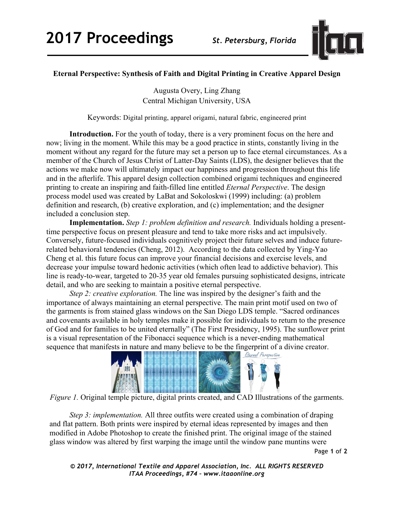

## **Eternal Perspective: Synthesis of Faith and Digital Printing in Creative Apparel Design**

Augusta Overy, Ling Zhang Central Michigan University, USA

Keywords: Digital printing, apparel origami, natural fabric, engineered print

**Introduction.** For the youth of today, there is a very prominent focus on the here and now; living in the moment. While this may be a good practice in stints, constantly living in the moment without any regard for the future may set a person up to face eternal circumstances. As a member of the Church of Jesus Christ of Latter-Day Saints (LDS), the designer believes that the actions we make now will ultimately impact our happiness and progression throughout this life and in the afterlife. This apparel design collection combined origami techniques and engineered printing to create an inspiring and faith-filled line entitled *Eternal Perspective*. The design process model used was created by LaBat and Sokoloskwi (1999) including: (a) problem definition and research, (b) creative exploration, and (c) implementation; and the designer included a conclusion step.

**Implementation.** *Step 1: problem definition and research.* Individuals holding a presenttime perspective focus on present pleasure and tend to take more risks and act impulsively. Conversely, future-focused individuals cognitively project their future selves and induce futurerelated behavioral tendencies (Cheng, 2012). According to the data collected by Ying-Yao Cheng et al. this future focus can improve your financial decisions and exercise levels, and decrease your impulse toward hedonic activities (which often lead to addictive behavior). This line is ready-to-wear, targeted to 20-35 year old females pursuing sophisticated designs, intricate detail, and who are seeking to maintain a positive eternal perspective.

*Step 2: creative exploration.* The line was inspired by the designer's faith and the importance of always maintaining an eternal perspective. The main print motif used on two of the garments is from stained glass windows on the San Diego LDS temple. "Sacred ordinances and covenants available in holy temples make it possible for individuals to return to the presence of God and for families to be united eternally" (The First Presidency, 1995). The sunflower print is a visual representation of the Fibonacci sequence which is a never-ending mathematical sequence that manifests in nature and many believe to be the fingerprint of a divine creator.



*Figure 1.* Original temple picture, digital prints created, and CAD Illustrations of the garments.

*Step 3: implementation.* All three outfits were created using a combination of draping and flat pattern. Both prints were inspired by eternal ideas represented by images and then modified in Adobe Photoshop to create the finished print. The original image of the stained glass window was altered by first warping the image until the window pane muntins were

Page **1** of **2**

*© 2017, International Textile and Apparel Association, Inc. ALL RIGHTS RESERVED ITAA Proceedings, #74 – www.itaaonline.org*